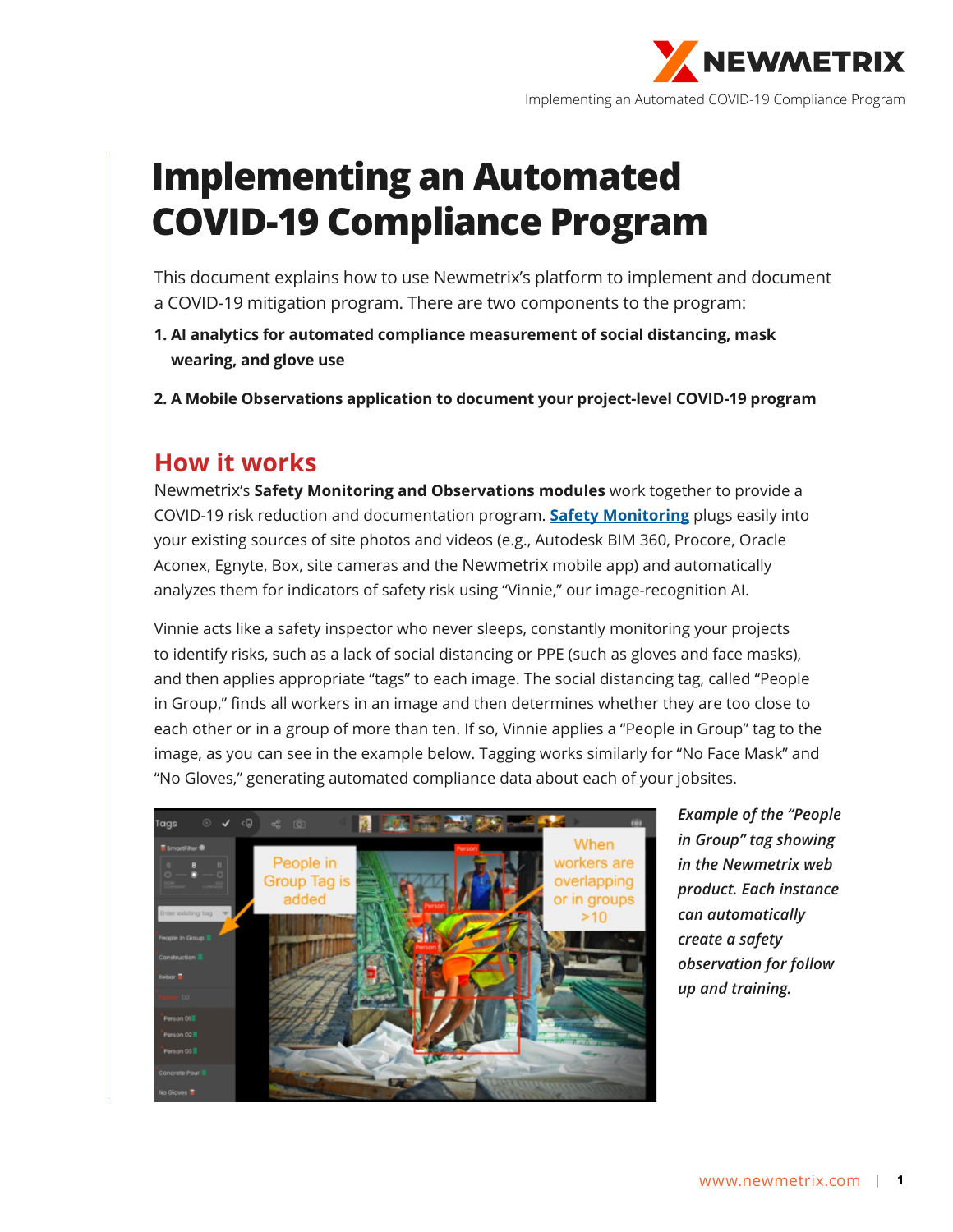

# **Implementing an Automated COVID-19 Compliance Program**

This document explains how to use Newmetrix's platform to implement and document a COVID-19 mitigation program. There are two components to the program:

- **1. AI analytics for automated compliance measurement of social distancing, mask wearing, and glove use**
- **2. A Mobile Observations application to document your project-level COVID-19 program**

#### **How it works**

Newmetrix's **Safety Monitoring and Observations modules** work together to provide a COVID-19 risk reduction and documentation program. **Safety Monitoring** plugs easily into your existing sources of site photos and videos (e.[g., Autodesk BIM 360, Procor](https://www.newmetrix.com/safety-monitoring)e, Oracle Aconex, Egnyte, Box, site cameras and the Newmetrix mobile app) and automatically analyzes them for indicators of safety risk using "Vinnie," our image-recognition AI.

Vinnie acts like a safety inspector who never sleeps, constantly monitoring your projects to identify risks, such as a lack of social distancing or PPE (such as gloves and face masks), and then applies appropriate "tags" to each image. The social distancing tag, called "People in Group," finds all workers in an image and then determines whether they are too close to each other or in a group of more than ten. If so, Vinnie applies a "People in Group" tag to the image, as you can see in the example below. Tagging works similarly for "No Face Mask" and "No Gloves," generating automated compliance data about each of your jobsites.



*Example of the "People in Group" tag showing in the Newmetrix web product. Each instance can automatically create a safety observation for follow up and training.*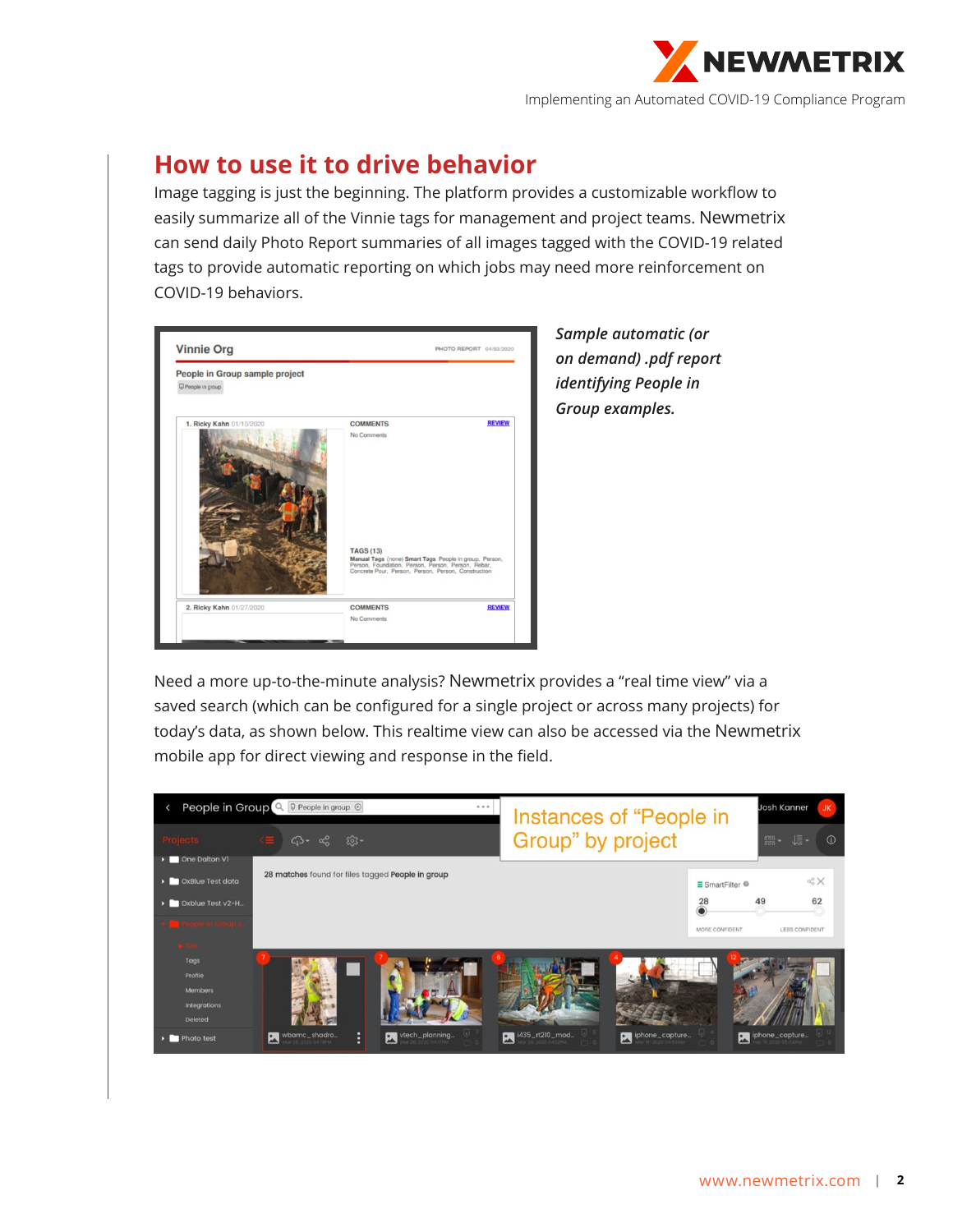

# **How to use it to drive behavior**

Image tagging is just the beginning. The platform provides a customizable workflow to easily summarize all of the Vinnie tags for management and project teams. Newmetrix can send daily Photo Report summaries of all images tagged with the COVID-19 related tags to provide automatic reporting on which jobs may need more reinforcement on COVID-19 behaviors.

| People in Group sample project |                                                                                                                                                                                         |               |
|--------------------------------|-----------------------------------------------------------------------------------------------------------------------------------------------------------------------------------------|---------------|
| People in group                |                                                                                                                                                                                         |               |
| 1. Ricky Kahn 01/10/2020       | <b>COMMENTS</b>                                                                                                                                                                         | <b>REVIEW</b> |
|                                | <b>TAGS (13)</b><br>Manual Tags (none) Smart Tags People in group, Person,<br>Person, Foundation, Person, Person, Person, Rebar,<br>Concrete Pour, Person, Person, Person, Construction |               |
|                                |                                                                                                                                                                                         |               |

*Sample automatic (or on demand) .pdf report identifying People in Group examples.*

Need a more up-to-the-minute analysis? Newmetrix provides a "real time view" via a saved search (which can be configured for a single project or across many projects) for today's data, as shown below. This realtime view can also be accessed via the Newmetrix mobile app for direct viewing and response in the field.

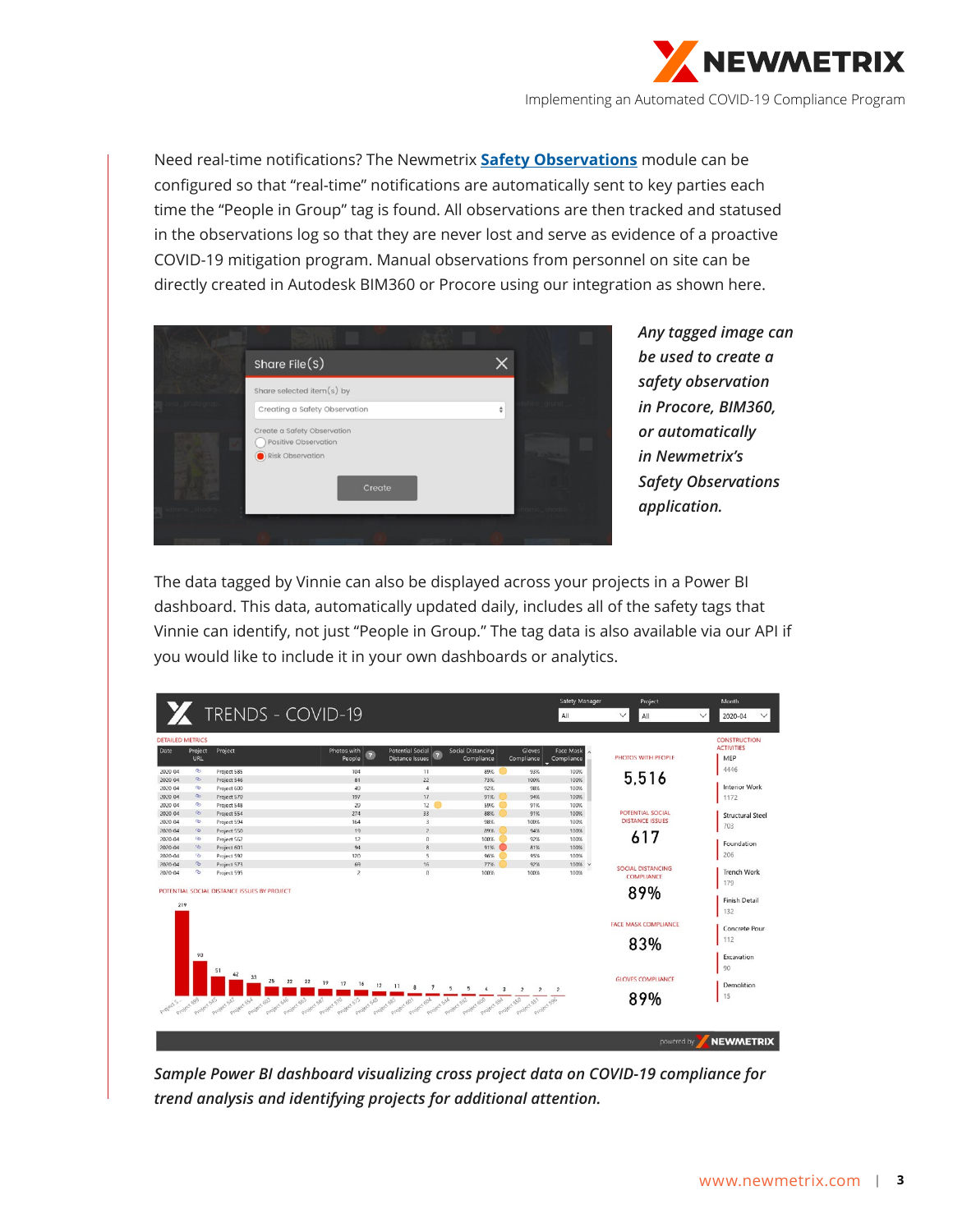

Need real-time notifications? The Newmetrix **[Safety Observations](https://www.newmetrix.com/safety-observations)** module can be configured so that "real-time" notifications are automatically sent to key parties each time the "People in Group" tag is found. All observations are then tracked and statused in the observations log so that they are never lost and serve as evidence of a proactive COVID-19 mitigation program. Manual observations from personnel on site can be directly created in Autodesk BIM360 or Procore using our integration as shown here.



*Any tagged image can be used to create a safety observation in Procore, BIM360, or automatically in Newmetrix's Safety Observations application.*

The data tagged by Vinnie can also be displayed across your projects in a Power BI dashboard. This data, automatically updated daily, includes all of the safety tags that Vinnie can identify, not just "People in Group." The tag data is also available via our API if you would like to include it in your own dashboards or analytics.

|                         |                |                                                                          |                                           |                                                                     |                                           |                                | <b>Safety Manager</b>   | Project                     | Month                                    |
|-------------------------|----------------|--------------------------------------------------------------------------|-------------------------------------------|---------------------------------------------------------------------|-------------------------------------------|--------------------------------|-------------------------|-----------------------------|------------------------------------------|
|                         |                | TRENDS - COVID-19                                                        |                                           |                                                                     |                                           |                                | All                     | $\checkmark$<br>All         | $\checkmark$<br>2020-04<br>$\checkmark$  |
|                         |                |                                                                          |                                           |                                                                     |                                           |                                |                         |                             |                                          |
| <b>DETAILED METRICS</b> |                |                                                                          |                                           |                                                                     |                                           |                                |                         |                             | <b>CONSTRUCTION</b><br><b>ACTIVITIES</b> |
| Date                    | Project<br>URL | Project                                                                  | Photos with<br>$\sqrt{7}$<br>People       | <b>Potential Social</b><br>$\overline{z}$<br><b>Distance Issues</b> | <b>Social Distancing</b><br>Compliance    | Gloves<br>Compliance           | Face Mask<br>Compliance | PHOTOS WITH PEOPLE          | MEP                                      |
| 2020-04                 | രം             | Project 585                                                              | 104                                       | 11                                                                  | 89%                                       | ۰<br>93%                       | 100%                    |                             | 4446                                     |
| 2020-04                 | Q <sub>2</sub> | Project 546                                                              | 81                                        | $\overline{22}$                                                     | 73%                                       | 100%                           | 100%                    | 5.516                       |                                          |
| 2020 04                 | <b>G</b>       | Project 600                                                              | 49                                        | 4                                                                   | 92%                                       | 98%                            | 100%                    |                             | <b>Interior Work</b>                     |
| 2020 04                 | $\infty$       | Project 570                                                              | 197                                       | 17                                                                  | 91%                                       | 94%                            | 100%                    |                             | 1172                                     |
| 2020 04                 | G              | Project 548                                                              | 29                                        | 12<br>60                                                            | 59%                                       | 91%                            | 100%                    |                             |                                          |
| 2020 04                 | $\circledcirc$ | Project 554                                                              | 274                                       | 33                                                                  | 88%                                       | 91%                            | 100%                    | POTENTIAL SOCIAL            | <b>Structural Steel</b>                  |
| 2020 04                 | <b>G</b>       | Project 594                                                              | 164                                       | $\overline{3}$                                                      | 98%                                       | 100%                           | 100%                    | <b>DISTANCE ISSUES</b>      |                                          |
| $2020 - 04$             | <b>SO</b>      | Project 550                                                              | 19                                        | $\overline{z}$                                                      | 89%                                       | 94%                            | 100%                    |                             | 703                                      |
| $2020 - 04$             | <b>Gb</b>      | Project 562                                                              | 12                                        | $\Omega$                                                            | 100%                                      | 92%                            | 100%                    | 617                         |                                          |
| $2020 - 04$             | B              | Project 601                                                              | 94                                        | $\mathbf{a}$                                                        | 91%                                       | 81%                            | 100%                    |                             | Foundation                               |
| $2020 - 04$             | <b>SB</b>      | Project 592                                                              | 120                                       | $\overline{\phantom{a}}$                                            | 96%                                       | 95%                            | 100%                    |                             | 206                                      |
| $2020 - 04$             | $\infty$       | Project 573                                                              | 69                                        | 16                                                                  | 77%                                       | 92%                            | 100% v                  | <b>SOCIAL DISTANCING</b>    |                                          |
| $2020 - 04$             | $\infty$       | Project 595                                                              | $\overline{\mathbf{z}}$                   | $\Omega$                                                            | 100%                                      | 100%                           | 100%                    | <b>COMPLIANCE</b>           | <b>Trench Work</b>                       |
|                         |                |                                                                          |                                           |                                                                     |                                           |                                |                         |                             | 179                                      |
|                         |                | POTENTIAL SOCIAL DISTANCE ISSUES BY PROJECT                              |                                           |                                                                     |                                           |                                |                         | 89%                         |                                          |
|                         |                |                                                                          |                                           |                                                                     |                                           |                                |                         |                             | <b>Finish Detail</b>                     |
| 219                     |                |                                                                          |                                           |                                                                     |                                           |                                |                         |                             | 132                                      |
|                         |                |                                                                          |                                           |                                                                     |                                           |                                |                         |                             |                                          |
|                         |                |                                                                          |                                           |                                                                     |                                           |                                |                         | <b>FACE MASK COMPLIANCE</b> | Concrete Pour                            |
|                         |                |                                                                          |                                           |                                                                     |                                           |                                |                         |                             | 112                                      |
|                         |                |                                                                          |                                           |                                                                     |                                           |                                |                         | 83%                         |                                          |
|                         | 90             |                                                                          |                                           |                                                                     |                                           |                                |                         |                             | Excavation                               |
|                         |                |                                                                          |                                           |                                                                     |                                           |                                |                         |                             |                                          |
|                         |                |                                                                          |                                           |                                                                     |                                           |                                |                         |                             | 90                                       |
|                         |                | 33<br>25<br>22<br>22                                                     | 19<br>17                                  |                                                                     |                                           |                                |                         | <b>GLOVES COMPLIANCE</b>    |                                          |
|                         |                |                                                                          | 16<br>12                                  | 11<br>8<br>$\overline{7}$<br>5                                      | 5                                         |                                |                         |                             | Demolition                               |
|                         |                |                                                                          |                                           |                                                                     |                                           |                                |                         | 89%                         | 15                                       |
| Project S               | Project spp    | Project 55A<br>Project 603<br>Project Safe<br>Project 563<br>Project 587 | Project 570<br>Project 548<br>Project 513 | Project SAA<br>Project 585<br>erolect 601<br>Project 60A            | Project 592<br>Project 600<br>Project spA | Spy engler star est engler spe |                         |                             |                                          |
|                         |                | Project safe                                                             |                                           |                                                                     |                                           |                                |                         |                             |                                          |
|                         |                |                                                                          |                                           |                                                                     |                                           |                                |                         |                             |                                          |
|                         |                |                                                                          |                                           |                                                                     |                                           |                                |                         |                             |                                          |
|                         |                |                                                                          |                                           |                                                                     |                                           |                                |                         | powered by                  | <b>NEWMETRIX</b>                         |
|                         |                |                                                                          |                                           |                                                                     |                                           |                                |                         |                             |                                          |

*Sample Power BI dashboard visualizing cross project data on COVID-19 compliance for trend analysis and identifying projects for additional attention.*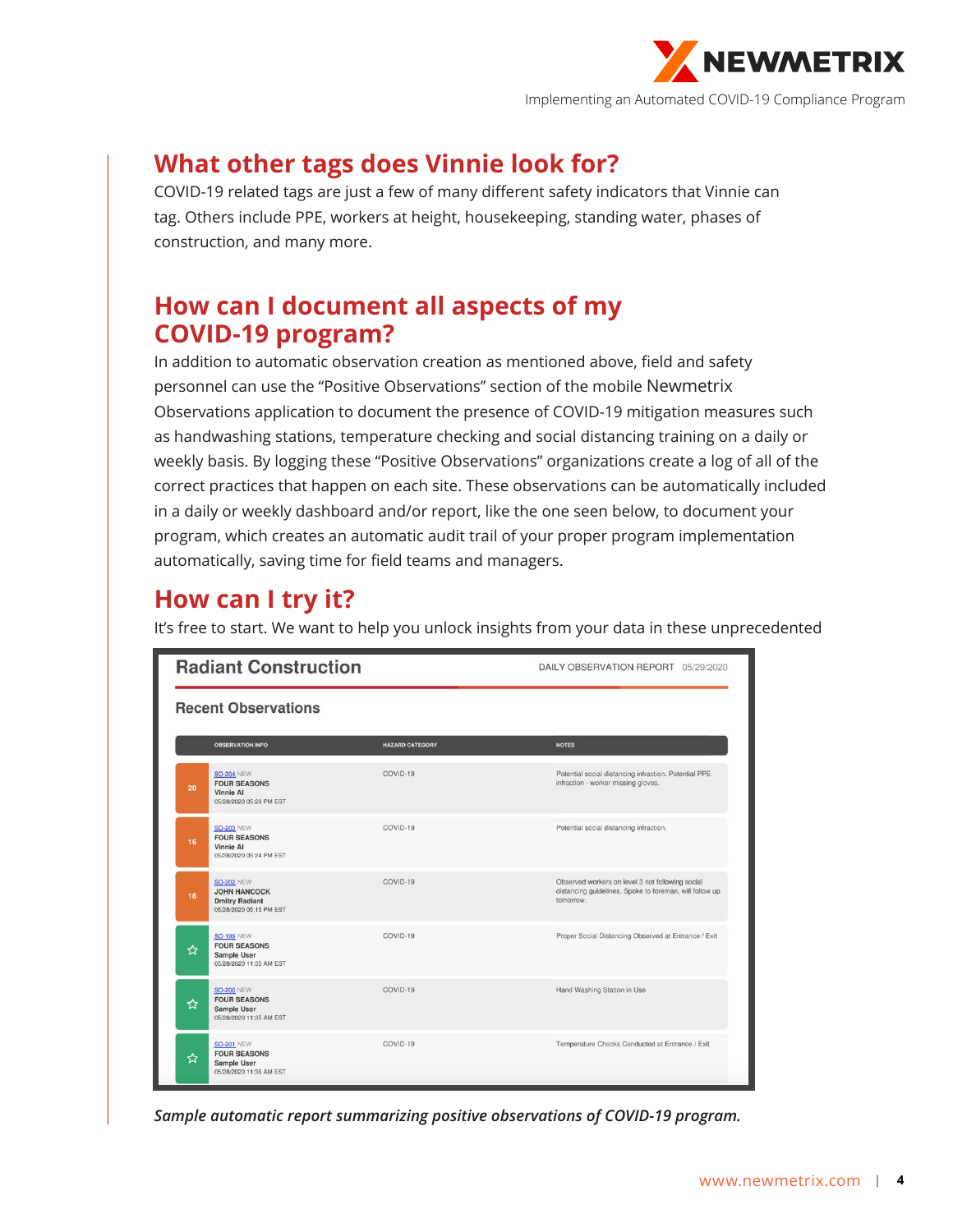

# **What other tags does Vinnie look for?**

COVID-19 related tags are just a few of many different safety indicators that Vinnie can tag. Others include PPE, workers at height, housekeeping, standing water, phases of construction, and many more.

### **How can I document all aspects of my COVID-19 program?**

In addition to automatic observation creation as mentioned above, field and safety personnel can use the "Positive Observations" section of the mobile Newmetrix Observations application to document the presence of COVID-19 mitigation measures such as handwashing stations, temperature checking and social distancing training on a daily or weekly basis. By logging these "Positive Observations" organizations create a log of all of the correct practices that happen on each site. These observations can be automatically included in a daily or weekly dashboard and/or report, like the one seen below, to document your program, which creates an automatic audit trail of your proper program implementation automatically, saving time for field teams and managers.

## **How can I try it?**

It's free to start. We want to help you unlock insights from your data in these unprecedented

|                            | <b>Radiant Construction</b>                                                                  |                        | DAILY OBSERVATION REPORT 05/29/2020                                                                                      |  |  |  |
|----------------------------|----------------------------------------------------------------------------------------------|------------------------|--------------------------------------------------------------------------------------------------------------------------|--|--|--|
| <b>Recent Observations</b> |                                                                                              |                        |                                                                                                                          |  |  |  |
|                            | <b>OBSERVATION INFO</b>                                                                      | <b>HAZARD CATEGORY</b> | <b>NOTES</b>                                                                                                             |  |  |  |
| 20                         | <b>SO-204 NEW</b><br><b>FOUR SEASONS</b><br><b>Vinnie Al</b><br>05/28/2020 05:28 PM EST      | COVID-19               | Potential social distancing infraction. Potential PPE<br>infraction - worker missing gloves.                             |  |  |  |
| 16                         | <b>SO-203 NEW</b><br><b>FOUR SEASONS</b><br><b>Vinnie Al</b><br>05/28/2020 05:24 PM EST      | COVID-19               | Potential social distancing infraction.                                                                                  |  |  |  |
| 16                         | <b>SO-202 NEW</b><br><b>JOHN HANCOCK</b><br><b>Dmitry Radiant</b><br>05/28/2020 05:15 PM EST | COVID-19               | Observed workers on level 3 not following social<br>distancing guidelines. Spoke to foreman, will follow up<br>tomorrow. |  |  |  |
| ☆                          | <b>SO-199 NEW</b><br><b>FOUR SEASONS</b><br>Sample User<br>05/28/2020 11:35 AM EST           | COVID-19               | Proper Social Distancing Observed at Entrance / Exit                                                                     |  |  |  |
| ☆                          | <b>SO-200 NEW</b><br><b>FOUR SEASONS</b><br><b>Sample User</b><br>05/28/2020 11:35 AM EST    | COVID-19               | Hand Washing Station in Use                                                                                              |  |  |  |
| ☆                          | <b>SO-201 NEW</b><br><b>FOUR SEASONS</b><br><b>Sample User</b><br>05/28/2020 11:36 AM EST    | COVID-19               | Temperature Checks Conducted at Entrance / Exit                                                                          |  |  |  |

*Sample automatic report summarizing positive observations of COVID-19 program.*